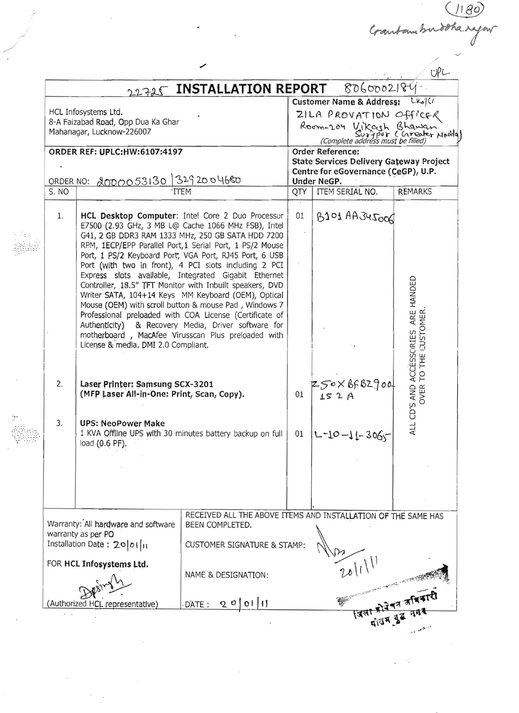Grantamburdoha rajon

 $\omega \sim 20$ 

|       |                                                                                             | 22725                                                                         | <b>INSTALLATION REPORT</b>                                                                                         |                                                           | 8060002184                                                                                                                                                            | UPL                                                          |  |  |
|-------|---------------------------------------------------------------------------------------------|-------------------------------------------------------------------------------|--------------------------------------------------------------------------------------------------------------------|-----------------------------------------------------------|-----------------------------------------------------------------------------------------------------------------------------------------------------------------------|--------------------------------------------------------------|--|--|
|       |                                                                                             |                                                                               | Customer Name & Address: Lkols                                                                                     |                                                           |                                                                                                                                                                       |                                                              |  |  |
|       |                                                                                             | HCL Infosystems Ltd.                                                          |                                                                                                                    | ZILA PROVATION OfficER                                    |                                                                                                                                                                       |                                                              |  |  |
|       | 8-A Faizabad Road, Opp Dua Ka Ghar                                                          |                                                                               |                                                                                                                    |                                                           |                                                                                                                                                                       |                                                              |  |  |
|       | Mahanagar, Lucknow-226007<br>ORDER REF: UPLC:HW:6107:4197                                   |                                                                               |                                                                                                                    |                                                           | Room-204 Vikcish Bhawan<br>Surger (Coreater Norted)<br>(Complete address must be filled)<br><b>Order Reference:</b><br><b>State Services Delivery Gateway Project</b> |                                                              |  |  |
|       |                                                                                             |                                                                               |                                                                                                                    |                                                           |                                                                                                                                                                       |                                                              |  |  |
|       |                                                                                             |                                                                               |                                                                                                                    |                                                           |                                                                                                                                                                       |                                                              |  |  |
|       |                                                                                             |                                                                               |                                                                                                                    | Centre for eGovernance (CeGP), U.P.<br><b>Under NeGP.</b> |                                                                                                                                                                       |                                                              |  |  |
| S. NO |                                                                                             | ORDER NO: 2000053130 3292004680                                               | <b>ITEM</b>                                                                                                        | QTY                                                       | ITEM SERIAL NO.                                                                                                                                                       | <b>REMARKS</b>                                               |  |  |
|       |                                                                                             |                                                                               |                                                                                                                    |                                                           |                                                                                                                                                                       |                                                              |  |  |
| 1.    |                                                                                             |                                                                               | HCL Desktop Computer: Intel Core 2 Duo Processor                                                                   | 01                                                        | BJO1 AA345000                                                                                                                                                         |                                                              |  |  |
|       |                                                                                             | E7500 (2.93 GHz, 3 MB L@ Cache 1066 MHz FSB), Intel                           |                                                                                                                    |                                                           |                                                                                                                                                                       |                                                              |  |  |
|       |                                                                                             |                                                                               | G41, 2 GB DDR3 RAM 1333 MHz, 250 GB SATA HDD 7200                                                                  |                                                           |                                                                                                                                                                       |                                                              |  |  |
|       |                                                                                             |                                                                               | RPM, 1ECP/EPP Parallel Port, 1 Serial Port, 1 PS/2 Mouse<br>Port, 1 PS/2 Keyboard Port, VGA Port, RJ45 Port, 6 USB |                                                           |                                                                                                                                                                       |                                                              |  |  |
|       |                                                                                             |                                                                               | Port (with two in front), 4 PCI slots including 2 PCI                                                              |                                                           |                                                                                                                                                                       |                                                              |  |  |
|       |                                                                                             |                                                                               | Express slots available, Integrated Gigabit Ethernet                                                               |                                                           |                                                                                                                                                                       |                                                              |  |  |
|       |                                                                                             |                                                                               | Controller, 18.5" TFT Monitor with Inbuilt speakers, DVD                                                           |                                                           |                                                                                                                                                                       |                                                              |  |  |
|       |                                                                                             |                                                                               | Writer SATA, 104+14 Keys MM Keyboard (OEM), Optical<br>Mouse (OEM) with scroll button & mouse Pad, Windows 7       |                                                           |                                                                                                                                                                       |                                                              |  |  |
|       |                                                                                             |                                                                               | Professional preloaded with COA License (Certificate of                                                            |                                                           |                                                                                                                                                                       |                                                              |  |  |
|       |                                                                                             |                                                                               | Authenticity). & Recovery Media, Driver software for                                                               |                                                           |                                                                                                                                                                       |                                                              |  |  |
|       |                                                                                             |                                                                               | motherboard, MacAfee Virusscan Plus preloaded with                                                                 |                                                           |                                                                                                                                                                       |                                                              |  |  |
|       |                                                                                             | License & media, DMI 2.0 Compliant.                                           |                                                                                                                    |                                                           |                                                                                                                                                                       |                                                              |  |  |
|       |                                                                                             |                                                                               |                                                                                                                    |                                                           |                                                                                                                                                                       |                                                              |  |  |
|       |                                                                                             |                                                                               |                                                                                                                    |                                                           |                                                                                                                                                                       | ALL CD'S AND ACCESSORIES ARE HANDED<br>OVER TO THE CUSTOMER. |  |  |
| 2.    |                                                                                             | Laser Printer: Samsung SCX-3201<br>(MFP Laser All-in-One: Print, Scan, Copy). |                                                                                                                    |                                                           | $750 \times 8682900$<br>152A                                                                                                                                          |                                                              |  |  |
|       |                                                                                             |                                                                               |                                                                                                                    | 01                                                        |                                                                                                                                                                       |                                                              |  |  |
|       |                                                                                             |                                                                               |                                                                                                                    |                                                           |                                                                                                                                                                       |                                                              |  |  |
|       | 3.<br><b>UPS: NeoPower Make</b><br>1 KVA Offline UPS with 30 minutes battery backup on full |                                                                               |                                                                                                                    |                                                           | $L - 10 - 11 - 3065$                                                                                                                                                  |                                                              |  |  |
|       |                                                                                             | load (0.6 PF).                                                                |                                                                                                                    |                                                           |                                                                                                                                                                       |                                                              |  |  |
|       |                                                                                             |                                                                               |                                                                                                                    |                                                           |                                                                                                                                                                       |                                                              |  |  |
|       |                                                                                             |                                                                               |                                                                                                                    |                                                           |                                                                                                                                                                       |                                                              |  |  |
|       |                                                                                             |                                                                               |                                                                                                                    |                                                           |                                                                                                                                                                       |                                                              |  |  |
|       |                                                                                             |                                                                               |                                                                                                                    |                                                           |                                                                                                                                                                       |                                                              |  |  |
|       | RECEIVED ALL THE ABOVE ITEMS AND INSTALLATION OF THE SAME HAS                               |                                                                               |                                                                                                                    |                                                           |                                                                                                                                                                       |                                                              |  |  |
|       |                                                                                             | Warranty: All hardware and software                                           | BEEN COMPLETED.                                                                                                    |                                                           |                                                                                                                                                                       |                                                              |  |  |
|       | warranty as per PO<br>Installation Date : 2001  11                                          |                                                                               | <b>CUSTOMER SIGNATURE &amp; STAMP</b>                                                                              |                                                           |                                                                                                                                                                       |                                                              |  |  |
|       |                                                                                             |                                                                               |                                                                                                                    |                                                           |                                                                                                                                                                       |                                                              |  |  |
|       | FOR HCL Infosystems Ltd.                                                                    |                                                                               |                                                                                                                    |                                                           |                                                                                                                                                                       |                                                              |  |  |
|       |                                                                                             |                                                                               | NAME & DESIGNATION:                                                                                                |                                                           |                                                                                                                                                                       |                                                              |  |  |
|       |                                                                                             |                                                                               |                                                                                                                    |                                                           |                                                                                                                                                                       |                                                              |  |  |
|       |                                                                                             | (Authorized HCL representative)                                               | DATE: $2^{\circ}$ 0   1                                                                                            |                                                           |                                                                                                                                                                       | न जबिकारी<br>इ. तसक                                          |  |  |
|       |                                                                                             |                                                                               |                                                                                                                    |                                                           |                                                                                                                                                                       |                                                              |  |  |

 $\sim$ 

 $\sim$ 

 $\label{eq:1.1} \begin{array}{ll} \mathbf{R}^2 & \mathbf{R}^2 \times \mathbf{R}^2 \times \mathbf{R}^2 \times \mathbf{R}^2 \times \mathbf{R}^2 \times \mathbf{R}^2 \times \mathbf{R}^2 \times \mathbf{R}^2 \times \mathbf{R}^2 \times \mathbf{R}^2 \times \mathbf{R}^2 \times \mathbf{R}^2 \times \mathbf{R}^2 \times \mathbf{R}^2 \times \mathbf{R}^2 \times \mathbf{R}^2 \times \mathbf{R}^2 \times \mathbf{R}^2 \times \mathbf{R}^2 \times \mathbf{R$ 

 $\tilde{\phantom{a}}$ 

 $\bar{\mathbf{z}}$